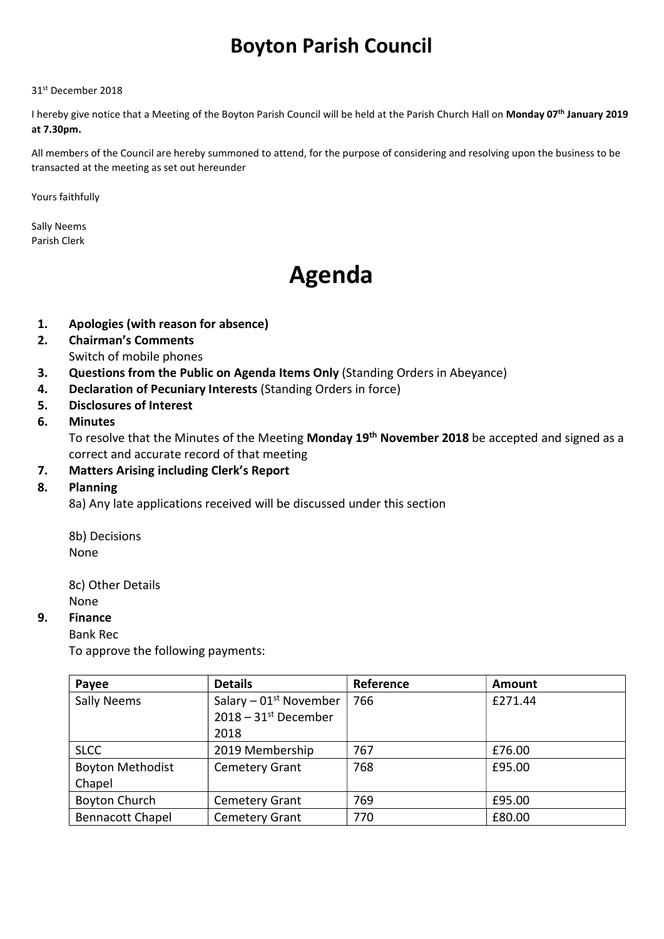# Boyton Parish Council

#### 31st December 2018

I hereby give notice that a Meeting of the Boyton Parish Council will be held at the Parish Church Hall on Monday 07<sup>th</sup> January 2019 at 7.30pm.

All members of the Council are hereby summoned to attend, for the purpose of considering and resolving upon the business to be transacted at the meeting as set out hereunder

Yours faithfully

Sally Neems Parish Clerk

# Agenda

- 1. Apologies (with reason for absence)
- 2. Chairman's Comments Switch of mobile phones
- 3. Questions from the Public on Agenda Items Only (Standing Orders in Abeyance)
- 4. Declaration of Pecuniary Interests (Standing Orders in force)
- 5. Disclosures of Interest

#### 6. Minutes

To resolve that the Minutes of the Meeting Monday 19<sup>th</sup> November 2018 be accepted and signed as a correct and accurate record of that meeting

#### 7. Matters Arising including Clerk's Report

#### 8. Planning

8a) Any late applications received will be discussed under this section

8b) Decisions None

8c) Other Details None

#### 9. Finance

Bank Rec

To approve the following payments:

| Payee                   | <b>Details</b>                     | Reference | Amount  |
|-------------------------|------------------------------------|-----------|---------|
| Sally Neems             | Salary $-01st$ November            | 766       | £271.44 |
|                         | $2018 - 31$ <sup>st</sup> December |           |         |
|                         | 2018                               |           |         |
| <b>SLCC</b>             | 2019 Membership                    | 767       | £76.00  |
| <b>Boyton Methodist</b> | <b>Cemetery Grant</b>              | 768       | £95.00  |
| Chapel                  |                                    |           |         |
| <b>Boyton Church</b>    | <b>Cemetery Grant</b>              | 769       | £95.00  |
| <b>Bennacott Chapel</b> | <b>Cemetery Grant</b>              | 770       | £80.00  |